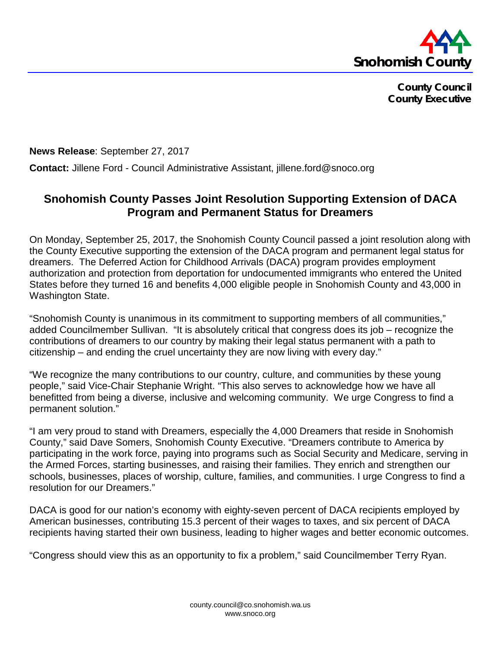

**County Council County Executive**

**News Release**: September 27, 2017

**Contact:** Jillene Ford - Council Administrative Assistant, jillene.ford@snoco.org

## **Snohomish County Passes Joint Resolution Supporting Extension of DACA Program and Permanent Status for Dreamers**

On Monday, September 25, 2017, the Snohomish County Council passed a joint resolution along with the County Executive supporting the extension of the DACA program and permanent legal status for dreamers. The Deferred Action for Childhood Arrivals (DACA) program provides employment authorization and protection from deportation for undocumented immigrants who entered the United States before they turned 16 and benefits 4,000 eligible people in Snohomish County and 43,000 in Washington State.

"Snohomish County is unanimous in its commitment to supporting members of all communities," added Councilmember Sullivan. "It is absolutely critical that congress does its job – recognize the contributions of dreamers to our country by making their legal status permanent with a path to citizenship – and ending the cruel uncertainty they are now living with every day."

"We recognize the many contributions to our country, culture, and communities by these young people," said Vice-Chair Stephanie Wright. "This also serves to acknowledge how we have all benefitted from being a diverse, inclusive and welcoming community. We urge Congress to find a permanent solution."

"I am very proud to stand with Dreamers, especially the 4,000 Dreamers that reside in Snohomish County," said Dave Somers, Snohomish County Executive. "Dreamers contribute to America by participating in the work force, paying into programs such as Social Security and Medicare, serving in the Armed Forces, starting businesses, and raising their families. They enrich and strengthen our schools, businesses, places of worship, culture, families, and communities. I urge Congress to find a resolution for our Dreamers."

DACA is good for our nation's economy with eighty-seven percent of DACA recipients employed by American businesses, contributing 15.3 percent of their wages to taxes, and six percent of DACA recipients having started their own business, leading to higher wages and better economic outcomes.

"Congress should view this as an opportunity to fix a problem," said Councilmember Terry Ryan.